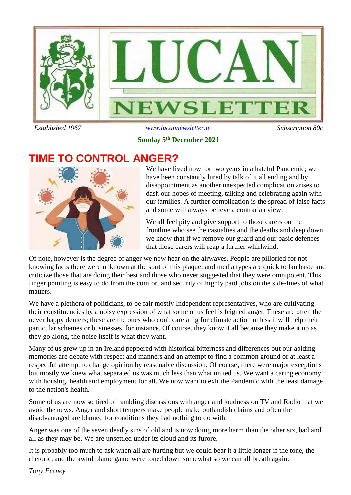

 *Established 1967 [www.lucannewsletter.ie](http://www.lucannewsletter.ie/) Subscription 80c*

## **Sunday 5 th December 2021**

## **TIME TO CONTROL ANGER?**



We have lived now for two years in a hateful Pandemic; we have been constantly lured by talk of it all ending and by disappointment as another unexpected complication arises to dash our hopes of meeting, talking and celebrating again with our families. A further complication is the spread of false facts and some will always believe a contrarian view.

We all feel pity and give support to those carers on the frontline who see the casualties and the deaths and deep down we know that if we remove our guard and our basic defences that those carers will reap a further whirlwind.

Of note, however is the degree of anger we now hear on the airwaves. People are pilloried for not knowing facts there were unknown at the start of this plaque, and media types are quick to lambaste and criticize those that are doing their best and those who never suggested that they were omnipotent. This finger pointing is easy to do from the comfort and security of highly paid jobs on the side-lines of what matters.

We have a plethora of politicians, to be fair mostly Independent representatives, who are cultivating their constituencies by a noisy expression of what some of us feel is feigned anger. These are often the never happy deniers; these are the ones who don't care a fig for climate action unless it will help their particular schemes or businesses, for instance. Of course, they know it all because they make it up as they go along, the noise itself is what they want.

Many of us grew up in an Ireland peppered with historical bitterness and differences but our abiding memories are debate with respect and manners and an attempt to find a common ground or at least a respectful attempt to change opinion by reasonable discussion. Of course, there were major exceptions but mostly we knew what separated us was much less than what united us. We want a caring economy with housing, health and employment for all. We now want to exit the Pandemic with the least damage to the nation's health.

Some of us are now so tired of rambling discussions with anger and loudness on TV and Radio that we avoid the news. Anger and short tempers make people make outlandish claims and often the disadvantaged are blamed for conditions they had nothing to do with.

Anger was one of the seven deadly sins of old and is now doing more harm than the other six, bad and all as they may be. We are unsettled under its cloud and its furore.

It is probably too much to ask when all are hurting but we could bear it a little longer if the tone, the rhetoric, and the awful blame game were toned down somewhat so we can all breath again.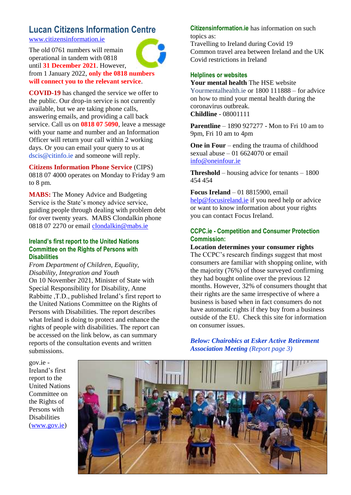#### **Lucan Citizens Information Centre** [www.citizensinformation.ie](http://www.citizensinformation.ie/)

The old 0761 numbers will remain operational in tandem with 0818 until **31 December 2021**. However, from 1 January 2022, **only the 0818 numbers** 

**will connect you to the relevant service**.

**COVID-19** has changed the service we offer to the public. Our drop-in service is not currently available, but we are taking phone calls, answering emails, and providing a call back service. Call us on **0818 07 5090**, leave a message with your name and number and an Information Officer will return your call within 2 working days. Or you can email your query to us at dscis@citinfo.ie and someone will reply.

**Citizens Information Phone Service** (CIPS) 0818 07 4000 operates on Monday to Friday 9 am to 8 pm.

**MABS:** The Money Advice and Budgeting Service is the State's money advice service, guiding people through dealing with problem debt for over twenty years. MABS Clondalkin phone 0818 07 2270 or email [clondalkin@mabs.ie](mailto:clondalkin@mabs.ie)

#### **Ireland's first report to the United Nations Committee on the Rights of Persons with Disabilities**

*From Department of Children, Equality, Disability, Integration and Youth*  On 10 November 2021, Minister of State with Special Responsibility for Disability, Anne Rabbitte ,T.D., published Ireland's first report to the United Nations Committee on the Rights of Persons with Disabilities. The report describes what Ireland is doing to protect and enhance the rights of people with disabilities. The report can be accessed on the link below, as can summary reports of the consultation events and written submissions.

**Citizensinformation.ie** has information on such topics as:

Travelling to Ireland during Covid 19 Common travel area between Ireland and the UK Covid restrictions in Ireland

#### **Helplines or websites**

**Your mental health** The HSE website Yourmentalhealth.ie or 1800 111888 – for advice on how to mind your mental health during the coronavirus outbreak. **Childline** - 08001111

**Parentline** – 1890 927277 - Mon to Fri 10 am to 9pm, Fri 10 am to 4pm

**One in Four** – ending the trauma of childhood sexual abuse  $-01$  6624070 or email [info@oneinfour.ie](mailto:info@oneinfour.ie)

**Threshold** – housing advice for tenants – 1800 454 454

**Focus Ireland** – 01 8815900, email [help@focusireland.ie](mailto:help@focusireland.ie) if you need help or advice or want to know information about your rights you can contact Focus Ireland.

#### **CCPC.ie - Competition and Consumer Protection Commission:**

**Location determines your consumer rights** The CCPC's research findings suggest that most consumers are familiar with shopping online, with the majority (76%) of those surveyed confirming they had bought online over the previous 12 months. However, 32% of consumers thought that their rights are the same irrespective of where a business is based when in fact consumers do not have automatic rights if they buy from a business outside of the EU. Check this site for information on consumer issues.

*Below: Chairobics at Esker Active Retirement Association Meeting (Report page 3)*

gov.ie - Ireland's first report to the United Nations Committee on the Rights of Persons with Disabilities [\(www.gov.ie\)](http://www.gov.ie/)

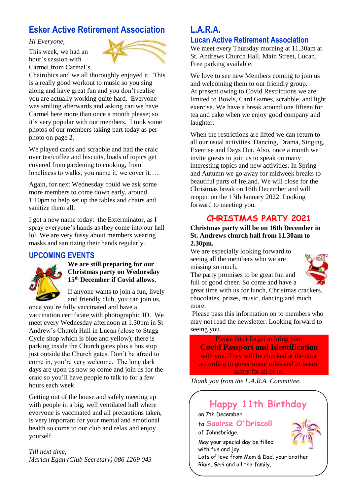## **Esker Active Retirement Association**

#### *Hi Everyone,*

This week, we had an hour's session with Carmel from Carmel's



Chairobics and we all thoroughly enjoyed it. This is a really good workout to music so you sing along and have great fun and you don't realise you are actually working quite hard. Everyone was smiling afterwards and asking can we have Carmel here more than once a month please; so it's very popular with our members. I took some photos of our members taking part today as per photo on page 2.

We played cards and scrabble and had the craic over tea/coffee and biscuits, loads of topics get covered from gardening to cooking, from loneliness to walks, you name it, we cover it…..

Again, for next Wednesday could we ask some more members to come down early, around 1.10pm to help set up the tables and chairs and sanitize them all.

I got a new name today: the Exterminator, as I spray everyone's hands as they come into our hall lol. We are very fussy about members wearing masks and sanitizing their hands regularly.

#### **UPCOMING EVENTS**



#### **We are still preparing for our Christmas party on Wednesday 15th December if Covid allows.**

If anyone wants to join a fun, lively and friendly club, you can join us,

once you're fully vaccinated and have a vaccination certificate with photographic ID. We meet every Wednesday afternoon at 1.30pm in St Andrew's Church Hall in Lucan (close to Stagg Cycle shop which is blue and yellow); there is parking inside the Church gates plus a bus stop just outside the Church gates. Don't be afraid to come in, you're very welcome. The long dark days are upon us now so come and join us for the craic so you'll have people to talk to for a few hours each week.

Getting out of the house and safely meeting up with people in a big, well ventilated hall where everyone is vaccinated and all precautions taken, is very important for your mental and emotional health so come to our club and relax and enjoy yourself.

#### *Till next time, Marian Egan (Club Secretary) 086 1269 043*

### **L.A.R.A. Lucan Active Retirement Association**

We meet every Thursday morning at 11.30am at St. Andrews Church Hall, Main Street, Lucan. Free parking available.

We love to see new Members coming to join us and welcoming them to our friendly group. At present owing to Covid Restrictions we are limited to Bowls, Card Games, scrabble, and light exercise. We have a break around one fifteen for tea and cake when we enjoy good company and laughter.

When the restrictions are lifted we can return to all our usual activities. Dancing, Drama, Singing, Exercise and Days Out. Also, once a month we invite guests to join us to speak on many interesting topics and new activities. In Spring and Autumn we go away for midweek breaks to beautiful parts of Ireland. We will close for the Christmas break on 16th December and will reopen on the 13th January 2022. Looking forward to meeting you.

## **CHRISTMAS PARTY 2021**

#### **Christmas party will be on 16th December in St. Andrews church hall from 11.30am to 2.30pm.**

We are especially looking forward to seeing all the members who we are missing so much.



The party promises to be great fun and full of good cheer. So come and have a

great time with us for lunch, Christmas crackers, chocolates, prizes, music, dancing and much more.

Please pass this information on to members who may not read the newsletter. Looking forward to seeing you.

Please don't forget to bring your **Covid Passport and Identification**  with you. They will be checked at the door according to government rules and to insure safety for all of us.

*Thank you from the L.A.R.A. Committee.*

# **Happy 11th Birthday**

on 7th December

to **Saoirse O'Driscoll** of Johnsbridge.

May your special day be filled with fun and joy.

Lots of love from Mom & Dad, your brother Riain, Geri and all the family.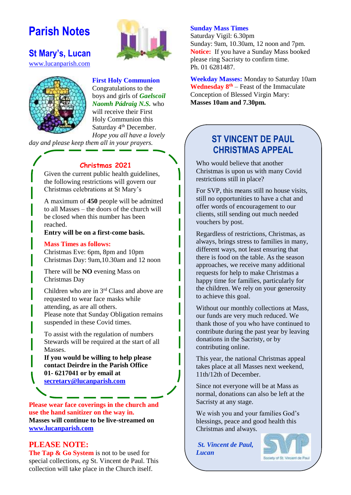# **Parish Notes**



#### **St Mary's, Lucan**  [www.lucanparish.com](http://www.lucanparish.com/)



**First Holy Communion** Congratulations to the boys and girls of *Gaelscoil Naomh Pádraig N.S.* who will receive their First Holy Communion this Saturday 4<sup>th</sup> December. *Hope you all have a lovely* 

*day and please keep them all in your prayers.* 

#### **Christmas 2021**

Given the current public health guidelines, the following restrictions will govern our Christmas celebrations at St Mary's

A maximum of **450** people will be admitted to all Masses – the doors of the church will be closed when this number has been reached.

**Entry will be on a first-come basis.** 

#### **Mass Times as follows:**

Christmas Eve: 6pm, 8pm and 10pm Christmas Day: 9am,10.30am and 12 noon

There will be **NO** evening Mass on Christmas Day

Children who are in 3rd Class and above are requested to wear face masks while attending, as are all others. Please note that Sunday Obligation remains suspended in these Covid times.

To assist with the regulation of numbers Stewards will be required at the start of all Masses.

**If you would be willing to help please contact Deirdre in the Parish Office 01- 6217041 or by email at [secretary@lucanparish.com](mailto:secretary@lucanparish.com)**

**Please wear face coverings in the church and use the hand sanitizer on the way in. Masses will continue to be live-streamed on [www.lucanparish.com](http://www.lucanparish.com/)**

#### **PLEASE NOTE:**

**The Tap & Go System** is not to be used for special collections, *eg* St. Vincent de Paul. This collection will take place in the Church itself.

#### **Sunday Mass Times**

Saturday Vigil: 6.30pm Sunday: 9am, 10.30am, 12 noon and 7pm. **Notice:** If you have a Sunday Mass booked please ring Sacristy to confirm time. Ph. 01 6281487.

**Weekday Masses:** Monday to Saturday 10am **Wednesday 8th** – Feast of the Immaculate Conception of Blessed Virgin Mary: **Masses 10am and 7.30pm.** 

## **ST VINCENT DE PAUL CHRISTMAS APPEAL**

Who would believe that another Christmas is upon us with many Covid restrictions still in place?

For SVP, this means still no house visits, still no opportunities to have a chat and offer words of encouragement to our clients, still sending out much needed vouchers by post.

Regardless of restrictions, Christmas, as always, brings stress to families in many, different ways, not least ensuring that there is food on the table. As the season approaches, we receive many additional requests for help to make Christmas a happy time for families, particularly for the children. We rely on your generosity to achieve this goal.

Without our monthly collections at Mass, our funds are very much reduced. We thank those of you who have continued to contribute during the past year by leaving donations in the Sacristy, or by contributing online.

This year, the national Christmas appeal takes place at all Masses next weekend, 11th/12th of December.

Since not everyone will be at Mass as normal, donations can also be left at the Sacristy at any stage.

We wish you and your families God's blessings, peace and good health this Christmas and always.

*St. Vincent de Paul, Lucan*



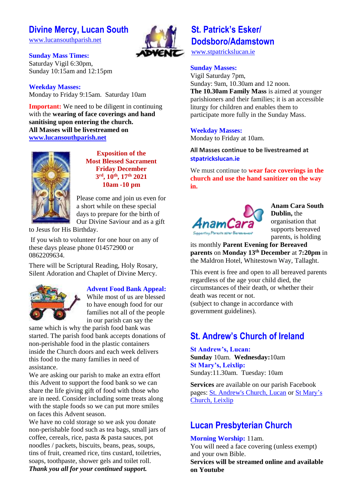## **Divine Mercy, Lucan South**

[www.lucansouthparish.net](http://www.lucansouthparish.net/)

**Sunday Mass Times:** Saturday Vigil 6:30pm, Sunday 10:15am and 12:15pm

**Weekday Masses:** Monday to Friday 9:15am. Saturday 10am

**Important:** We need to be diligent in continuing with the **wearing of face coverings and hand sanitising upon entering the church. All Masses will be livestreamed on [www.lucansouthparish.net](http://www.lucansouthparish.net/)**



**Exposition of the Most Blessed Sacrament Friday December 3 rd, 10th, 17th 2021 10am -10 pm**

Please come and join us even for a short while on these special days to prepare for the birth of Our Divine Saviour and as a gift

to Jesus for His Birthday.

If you wish to volunteer for one hour on any of these days please phone 014572900 or 0862209634.

There will be Scriptural Reading, Holy Rosary, Silent Adoration and Chaplet of Divine Mercy.



#### **Advent Food Bank Appeal:**

While most of us are blessed to have enough food for our families not all of the people in our parish can say the

same which is why the parish food bank was started. The parish food bank accepts donations of non-perishable food in the plastic containers inside the Church doors and each week delivers this food to the many families in need of assistance.

We are asking our parish to make an extra effort this Advent to support the food bank so we can share the life giving gift of food with those who are in need. Consider including some treats along with the staple foods so we can put more smiles on faces this Advent season.

We have no cold storage so we ask you donate non-perishable food such as tea bags, small jars of coffee, cereals, rice, pasta & pasta sauces, pot noodles / packets, biscuits, beans, peas, soups, tins of fruit, creamed rice, tins custard, toiletries, soaps, toothpaste, shower gels and toilet roll. *Thank you all for your continued support.*

## **St. Patrick's Esker/ Dodsboro/Adamstown**

[www.stpatrickslucan.ie](http://www.stpatrickslucan.ie/)

#### **Sunday Masses:**

Vigil Saturday 7pm, Sunday: 9am, 10.30am and 12 noon. **The 10.30am Family Mass** is aimed at younger parishioners and their families; it is an accessible liturgy for children and enables them to participate more fully in the Sunday Mass.

#### **Weekday Masses:**

Monday to Friday at 10am.

#### **All Masses continue to be livestreamed at stpatrickslucan.ie**

We must continue to **wear face coverings in the church and use the hand sanitizer on the way in.**



**Anam Cara South Dublin,** the organisation that supports bereaved parents, is holding

its monthly **Parent Evening for Bereaved parents** on **Monday 13th December** at **7:20pm** in the Maldron Hotel, Whitestown Way, Tallaght.

This event is free and open to all bereaved parents regardless of the age your child died, the circumstances of their death, or whether their death was recent or not. (subject to change in accordance with government guidelines).

## **St. Andrew's Church of Ireland**

**St Andrew's, Lucan: Sunday** 10am. **Wednesday:**10am **St Mary's, Leixlip:**  Sunday:11.30am. Tuesday: 10am

**Services** are available on our parish Facebook pages: [St. Andrew's Church, Lucan](https://www.facebook.com/standrewslucan/) or [St Mary's](https://www.facebook.com/stmarysleixlip/)  [Church, Leixlip](https://www.facebook.com/stmarysleixlip/)

## **Lucan Presbyterian Church**

#### **Morning Worship:** 11am.

You will need a face covering (unless exempt) and your own Bible.

**Services will be streamed online and available on Youtube**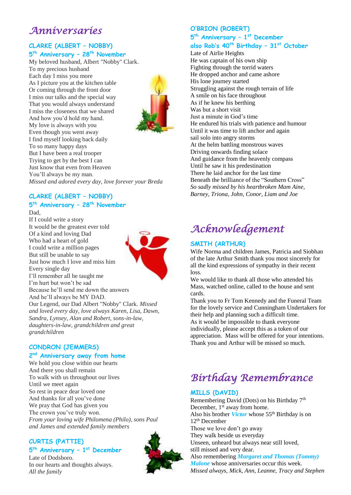## *Anniversaries*

#### **CLARKE (ALBERT – NOBBY) 5 th Anniversary – 28th November**

My beloved husband, Albert "Nobby" Clark. To my precious husband Each day I miss you more As I picture you at the kitchen table Or coming through the front door I miss our talks and the special way That you would always understand I miss the closeness that we shared And how you'd hold my hand. My love is always with you Even though you went away I find myself looking back daily To so many happy days But I have been a real trooper Trying to get by the best I can Just know that even from Heaven You'll always be my man. *Missed and adored every day, love forever your Breda*



#### **CLARKE (ALBERT – NOBBY)**

## **5 th Anniversary – 28th November**

Dad, If I could write a story It would be the greatest ever told Of a kind and loving Dad Who had a heart of gold I could write a million pages But still be unable to say Just how much I love and miss him Every single day I'll remember all he taught me I'm hurt but won't be sad Because he'll send me down the answers And he'll always be MY DAD. Our Legend, our Dad Albert "Nobby" Clark. *Missed and loved every day, love always Karen, Lisa, Dawn, Sandra, Lynsey, Alan and Robert, sons-in-law, daughters-in-law, grandchildren and great grandchildren*



#### **5 th Anniversary – 1 st December**

**O'BRION (ROBERT)**

## **also Rob's 40th Birthday – 31st October**

Late of Airlie Heights He was captain of his own ship Fighting through the torrid waters He dropped anchor and came ashore His lone journey started Struggling against the rough terrain of life A smile on his face throughout As if he knew his berthing Was but a short visit Just a minute in God's time He endured his trials with patience and humour Until it was time to lift anchor and again sail solo into angry storms At the helm battling monstrous waves Driving onwards finding solace And guidance from the heavenly compass Until he saw it his predestination There he laid anchor for the last time Beneath the brilliance of the "Southern Cross" *So sadly missed by his heartbroken Mam Aine, Barney, Triona, John, Conor, Liam and Joe* 

# *Acknowledgement*

#### **SMITH (ARTHUR)**

Wife Norma and children James, Patricia and Siobhan of the late Arthur Smith thank you most sincerely for all the kind expressions of sympathy in their recent loss.

We would like to thank all those who attended his Mass, watched online, called to the house and sent cards.

Thank you to Fr Tom Kennedy and the Funeral Team for the lovely service and Cunningham Undertakers for their help and planning such a difficult time. As it would be impossible to thank everyone individually, please accept this as a token of our appreciation. Mass will be offered for your intentions. Thank you and Arthur will be missed so much.

# *Birthday Remembrance*

#### **MILLS (DAVID)**

Remembering David (Dots) on his Birthday 7<sup>th</sup> December, 1<sup>st</sup> away from home. Also his brother *Victor* whose 55th Birthday is on 12th December Those we love don't go away They walk beside us everyday Unseen, unheard but always near still loved, still missed and very dear. Also remembering *Margaret and Thomas (Tommy) Malone* whose anniversaries occur this week. *Missed always, Mick, Ann, Leanne, Tracy and Stephen* 

#### **CONDRON (JEMMERS)**

#### **2 nd Anniversary away from home**

We hold you close within our hearts And there you shall remain To walk with us throughout our lives Until we meet again So rest in peace dear loved one And thanks for all you've done We pray that God has given you The crown you've truly won. *From your loving wife Philomena (Philo), sons Paul and James and extended family members*

### **CURTIS (PATTIE)**

**5 th Anniversary – 1 st December** Late of Dodsboro. In our hearts and thoughts always. *All the family*

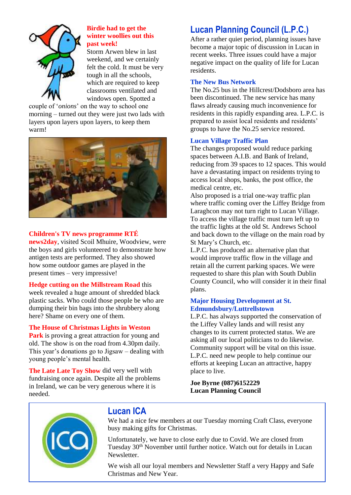

#### **Birdie had to get the winter woollies out this past week!**

Storm Arwen blew in last weekend, and we certainly felt the cold. It must be very tough in all the schools, which are required to keep classrooms ventilated and windows open. Spotted a

couple of '*onions*' on the way to school one morning – turned out they were just two lads with layers upon layers upon layers, to keep them warm!



#### **Children's TV news programme RTÉ**

**news2day**, visited Scoil Mhuire, Woodview, were the boys and girls volunteered to demonstrate how antigen tests are performed. They also showed how some outdoor games are played in the present times – very impressive!

#### **Hedge cutting on the Millstream Road** this

week revealed a huge amount of shredded black plastic sacks. Who could those people be who are dumping their bin bags into the shrubbery along here? Shame on every one of them.

#### **The House of Christmas Lights in Weston**

**Park** is proving a great attraction for young and old. The show is on the road from 4.30pm daily. This year's donations go to Jigsaw – dealing with young people's mental health.

**The Late Late Toy Show** did very well with fundraising once again. Despite all the problems in Ireland, we can be very generous where it is needed.

## **Lucan Planning Council (L.P.C.)**

After a rather quiet period, planning issues have become a major topic of discussion in Lucan in recent weeks. Three issues could have a major negative impact on the quality of life for Lucan residents.

#### **The New Bus Network**

The No.25 bus in the Hillcrest/Dodsboro area has been discontinued. The new service has many flaws already causing much inconvenience for residents in this rapidly expanding area. L.P.C. is prepared to assist local residents and residents' groups to have the No.25 service restored.

#### **Lucan Village Traffic Plan**

The changes proposed would reduce parking spaces between A.I.B. and Bank of Ireland, reducing from 39 spaces to 12 spaces. This would have a devastating impact on residents trying to access local shops, banks, the post office, the medical centre, etc.

Also proposed is a trial one-way traffic plan where traffic coming over the Liffey Bridge from Laraghcon may not turn right to Lucan Village. To access the village traffic must turn left up to the traffic lights at the old St. Andrews School and back down to the village on the main road by St Mary's Church, etc.

L.P.C. has produced an alternative plan that would improve traffic flow in the village and retain all the current parking spaces. We were requested to share this plan with South Dublin County Council, who will consider it in their final plans.

#### **Major Housing Development at St. Edmundsbury/Luttrellstown**

L.P.C. has always supported the conservation of the Liffey Valley lands and will resist any changes to its current protected status. We are asking all our local politicians to do likewise. Community support will be vital on this issue. L.P.C. need new people to help continue our efforts at keeping Lucan an attractive, happy place to live.

**Joe Byrne (087)6152229 Lucan Planning Council**



## **Lucan ICA**

We had a nice few members at our Tuesday morning Craft Class, everyone busy making gifts for Christmas.

Unfortunately, we have to close early due to Covid. We are closed from Tuesday 30<sup>th</sup> November until further notice. Watch out for details in Lucan Newsletter.

We wish all our loyal members and Newsletter Staff a very Happy and Safe Christmas and New Year.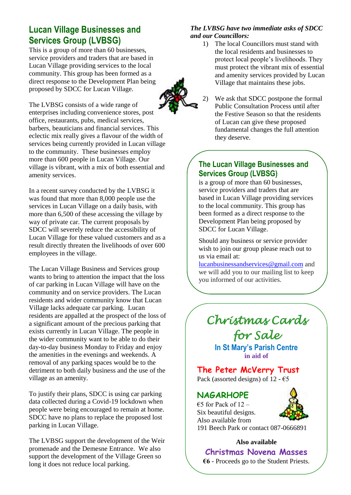## **Lucan Village Businesses and Services Group (LVBSG)**

This is a group of more than 60 businesses, service providers and traders that are based in Lucan Village providing services to the local community. This group has been formed as a direct response to the Development Plan being proposed by SDCC for Lucan Village.

The LVBSG consists of a wide range of enterprises including convenience stores, post office, restaurants, pubs, medical services, barbers, beauticians and financial services. This eclectic mix really gives a flavour of the width of services being currently provided in Lucan village to the community. These businesses employ more than 600 people in Lucan Village. Our village is vibrant, with a mix of both essential and amenity services.

In a recent survey conducted by the LVBSG it was found that more than 8,000 people use the services in Lucan Village on a daily basis, with more than 6,500 of these accessing the village by way of private car. The current proposals by SDCC will severely reduce the accessibility of Lucan Village for these valued customers and as a result directly threaten the livelihoods of over 600 employees in the village.

The Lucan Village Business and Services group wants to bring to attention the impact that the loss of car parking in Lucan Village will have on the community and on service providers. The Lucan residents and wider community know that Lucan Village lacks adequate car parking. Lucan residents are appalled at the prospect of the loss of a significant amount of the precious parking that exists currently in Lucan Village. The people in the wider community want to be able to do their day-to-day business Monday to Friday and enjoy the amenities in the evenings and weekends. A removal of any parking spaces would be to the detriment to both daily business and the use of the village as an amenity.

To justify their plans, SDCC is using car parking data collected during a Covid-19 lockdown when people were being encouraged to remain at home. SDCC have no plans to replace the proposed lost parking in Lucan Village.

The LVBSG support the development of the Weir promenade and the Demesne Entrance. We also support the development of the Village Green so long it does not reduce local parking.

#### *The LVBSG have two immediate asks of SDCC and our Councillors:*

1) The local Councillors must stand with the local residents and businesses to protect local people's livelihoods. They must protect the vibrant mix of essential and amenity services provided by Lucan Village that maintains these jobs.



2) We ask that SDCC postpone the formal Public Consultation Process until after the Festive Season so that the residents of Lucan can give these proposed fundamental changes the full attention they deserve.

### **The Lucan Village Businesses and Services Group (LVBSG)**

is a group of more than 60 businesses, service providers and traders that are based in Lucan Village providing services to the local community. This group has been formed as a direct response to the Development Plan being proposed by SDCC for Lucan Village.

Should any business or service provider wish to join our group please reach out to us via email at:

[lucanbusinessandservices@gmail.com](mailto:lucanbusinessandservices@gmail.com) and we will add you to our mailing list to keep you informed of our activities.

# *Christmas Cards for Sale*

**In St Mary's Parish Centre in aid of**

### **The Peter McVerry Trust** Pack (assorted designs) of 12 -  $\epsilon$ 5

## **NAGARHOPE**

€5 for Pack of  $12$  – Six beautiful designs. Also available from 191 Beech Park or contact 087-0666891

#### **Also available**

**Christmas Novena Masses €6** - Proceeds go to the Student Priests.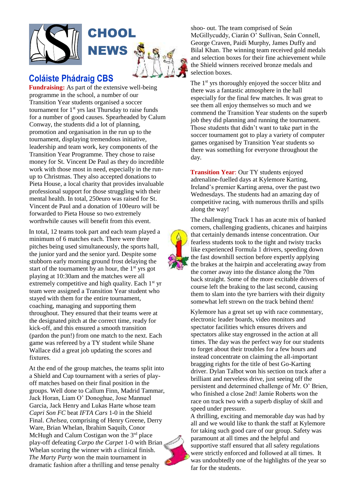

### **Coláiste Phádraig CBS**

**Fundraising:** As part of the extensive well-being programme in the school, a number of our Transition Year students organised a soccer tournament for  $1<sup>st</sup>$  yrs last Thursday to raise funds for a number of good causes. Spearheaded by Calum Conway, the students did a lot of planning, promotion and organisation in the run up to the tournament, displaying tremendous initiative, leadership and team work, key components of the Transition Year Programme. They chose to raise money for St. Vincent De Paul as they do incredible work with those most in need, especially in the runup to Christmas. They also accepted donations to Pieta House, a local charity that provides invaluable professional support for those struggling with their mental health. In total, 250euro was raised for St. Vincent de Paul and a donation of 100euro will be forwarded to Pieta House so two extremely worthwhile causes will benefit from this event.

In total, 12 teams took part and each team played a minimum of 6 matches each. There were three pitches being used simultaneously, the sports hall, the junior yard and the senior yard. Despite some stubborn early morning ground frost delaying the start of the tournament by an hour, the  $1<sup>st</sup>$  yrs got playing at 10:30am and the matches were all extremely competitive and high quality. Each  $1<sup>st</sup>$  yr team were assigned a Transition Year student who stayed with them for the entire tournament, coaching, managing and supporting them throughout. They ensured that their teams were at the designated pitch at the correct time, ready for kick-off, and this ensured a smooth transition (pardon the pun!) from one match to the next. Each game was refereed by a TY student while Shane Wallace did a great job updating the scores and fixtures.

At the end of the group matches, the teams split into a Shield and Cup tournament with a series of playoff matches based on their final position in the groups. Well done to Callum Finn, Madrid Tammar, Jack Horan, Liam O' Donoghue, Jose Mannuel Garcia, Jack Henry and Lukas Harte whose team *Capri Son FC* beat *IFTA Cars* 1-0 in the Shield Final. *Chelsea*, comprising of Henry Greene, Derry Ware, Brian Whelan, Ibrahim Saquib, Conor McHugh and Calum Costigan won the  $3<sup>rd</sup>$  place play-off defeating *Carpo the Carpet* 1-0 with Brian Whelan scoring the winner with a clinical finish. *The Marty Party* won the main tournament in dramatic fashion after a thrilling and tense penalty

shoo- out. The team comprised of Seán McGillycuddy, Ciarán O' Sullivan, Seán Connell, George Craven, Paidí Murphy, James Duffy and Bilal Khan. The winning team received gold medals and selection boxes for their fine achievement while the Shield winners received bronze medals and selection boxes.

The 1<sup>st</sup> yrs thoroughly enjoyed the soccer blitz and there was a fantastic atmosphere in the hall especially for the final few matches. It was great to see them all enjoy themselves so much and we commend the Transition Year students on the superb job they did planning and running the tournament. Those students that didn't want to take part in the soccer tournament got to play a variety of computer games organised by Transition Year students so there was something for everyone throughout the day.

**Transition Year**: Our TY students enjoyed adrenaline-fuelled days at Kylemore Karting, Ireland's premier Karting arena, over the past two Wednesdays. The students had an amazing day of competitive racing, with numerous thrills and spills along the way!



The challenging Track 1 has an acute mix of banked corners, challenging gradients, chicanes and hairpins that certainly demands intense concentration. Our fearless students took to the tight and twisty tracks like experienced Formula 1 drivers, speeding down the fast downhill section before expertly applying the brakes at the hairpin and accelerating away from the corner away into the distance along the 70m back straight. Some of the more excitable drivers of course left the braking to the last second, causing them to slam into the tyre barriers with their dignity somewhat left strewn on the track behind them!

Kylemore has a great set up with race commentary, electronic leader boards, video monitors and spectator facilities which ensures drivers and spectators alike stay engrossed in the action at all times. The day was the perfect way for our students to forget about their troubles for a few hours and instead concentrate on claiming the all-important bragging rights for the title of best Go-Karting driver. Dylan Talbot won his section on track after a brilliant and nerveless drive, just seeing off the persistent and determined challenge of Mr. O' Brien, who finished a close 2nd! Jamie Roberts won the race on track two with a superb display of skill and speed under pressure.

A thrilling, exciting and memorable day was had by all and we would like to thank the staff at Kylemore for taking such good care of our group. Safety was paramount at all times and the helpful and supportive staff ensured that all safety regulations were strictly enforced and followed at all times. It was undoubtedly one of the highlights of the year so far for the students.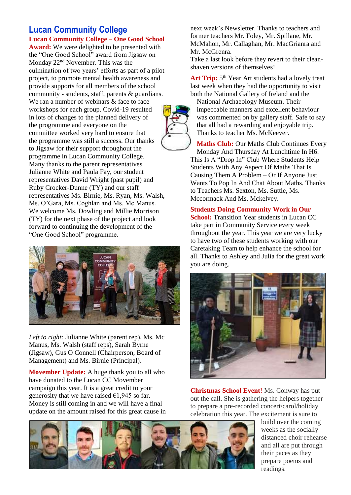#### **Lucan Community College Lucan Community College – One Good School**

**Award:** We were delighted to be presented with the "One Good School" award from Jigsaw on Monday 22nd November. This was the culmination of two years' efforts as part of a pilot project, to promote mental health awareness and provide supports for all members of the school community - students, staff, parents & guardians. We ran a number of webinars & face to face workshops for each group. Covid-19 resulted in lots of changes to the planned delivery of the programme and everyone on the committee worked very hard to ensure that the programme was still a success. Our thanks to Jigsaw for their support throughout the programme in Lucan Community College. Many thanks to the parent representatives Julianne White and Paula Fay, our student representatives David Wright (past pupil) and Ruby Crocker-Dunne (TY) and our staff representatives Ms. Birnie, Ms. Ryan, Ms. Walsh, Ms. O'Gara, Ms. Coghlan and Ms. Mc Manus. We welcome Ms. Dowling and Millie Morrison (TY) for the next phase of the project and look forward to continuing the development of the "One Good School" programme.



*Left to right:* Julianne White (parent rep), Ms. Mc Manus, Ms. Walsh (staff reps), Sarah Byrne (Jigsaw), Gus O Connell (Chairperson, Board of Management) and Ms. Birnie (Principal).

**Movember Update:** A huge thank you to all who have donated to the Lucan CC Movember campaign this year. It is a great credit to your generosity that we have raised  $\epsilon$ 1,945 so far. Money is still coming in and we will have a final update on the amount raised for this great cause in next week's Newsletter. Thanks to teachers and former teachers Mr. Foley, Mr. Spillane, Mr. McMahon, Mr. Callaghan, Mr. MacGrianra and Mr. McGrenra.

Take a last look before they revert to their cleanshaven versions of themselves!

Art Trip: 5<sup>th</sup> Year Art students had a lovely treat last week when they had the opportunity to visit both the National Gallery of Ireland and the

National Archaeology Museum. Their impeccable manners and excellent behaviour was commented on by gallery staff. Safe to say that all had a rewarding and enjoyable trip. Thanks to teacher Ms. McKeever.

**Maths Club:** Our Maths Club Continues Every Monday And Thursday At Lunchtime In H6. This Is A "Drop In" Club Where Students Help Students With Any Aspect Of Maths That Is Causing Them A Problem – Or If Anyone Just Wants To Pop In And Chat About Maths. Thanks to Teachers Ms. Sexton, Ms. Suttle, Ms. Mccormack And Ms. Mckelvey.

#### **Students Doing Community Work in Our**

**School:** Transition Year students in Lucan CC take part in Community Service every week throughout the year. This year we are very lucky to have two of these students working with our Caretaking Team to help enhance the school for all. Thanks to Ashley and Julia for the great work you are doing.



**Christmas School Event!** Ms. Conway has put out the call. She is gathering the helpers together to prepare a pre-recorded concert/carol/holiday celebration this year. The excitement is sure to



build over the coming weeks as the socially distanced choir rehearse and all are put through their paces as they prepare poems and readings.

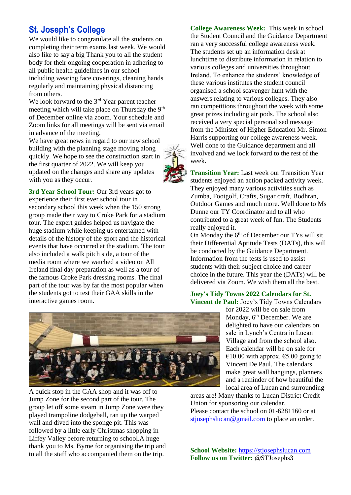## **St. Joseph's College**

We would like to congratulate all the students on completing their term exams last week. We would also like to say a big Thank you to all the student body for their ongoing cooperation in adhering to all public health guidelines in our school including wearing face coverings, cleaning hands regularly and maintaining physical distancing from others.

We look forward to the 3<sup>rd</sup> Year parent teacher meeting which will take place on Thursday the 9<sup>th</sup> of December online via zoom. Your schedule and Zoom links for all meetings will be sent via email in advance of the meeting.

We have great news in regard to our new school building with the planning stage moving along quickly. We hope to see the construction start in the first quarter of 2022. We will keep you updated on the changes and share any updates with you as they occur.

**3rd Year School Tour:** Our 3rd years got to experience their first ever school tour in secondary school this week when the 150 strong group made their way to Croke Park for a stadium tour. The expert guides helped us navigate the huge stadium while keeping us entertained with details of the history of the sport and the historical events that have occurred at the stadium. The tour also included a walk pitch side, a tour of the media room where we watched a video on All Ireland final day preparation as well as a tour of the famous Croke Park dressing rooms. The final part of the tour was by far the most popular when the students got to test their GAA skills in the interactive games room.

**College Awareness Week:** This week in school the Student Council and the Guidance Department ran a very successful college awareness week. The students set up an information desk at lunchtime to distribute information in relation to various colleges and universities throughout Ireland. To enhance the students' knowledge of these various institutes the student council organised a school scavenger hunt with the answers relating to various colleges. They also ran competitions throughout the week with some great prizes including air pods. The school also received a very special personalised message from the Minister of Higher Education Mr. Simon Harris supporting our college awareness week. Well done to the Guidance department and all involved and we look forward to the rest of the week.

**Transition Year:** Last week our Transition Year students enjoyed an action packed activity week. They enjoyed many various activities such as Zumba, Footgolf, Crafts, Sugar craft, Bodhran, Outdoor Games and much more. Well done to Ms Dunne our TY Coordinator and to all who contributed to a great week of fun. The Students really enjoyed it.

On Monday the 6<sup>th</sup> of December our TYs will sit their Differential Aptitude Tests (DATs), this will be conducted by the Guidance Department. Information from the tests is used to assist students with their subject choice and career choice in the future. This year the (DATs) will be delivered via Zoom. We wish them all the best.

#### **Joey's Tidy Towns 2022 Calendars for St. Vincent de Paul:** Joey's Tidy Towns Calendars

for 2022 will be on sale from Monday, 6<sup>th</sup> December. We are delighted to have our calendars on sale in Lynch's Centra in Lucan Village and from the school also. Each calendar will be on sale for  $€10.00$  with approx.  $€5.00$  going to Vincent De Paul. The calendars make great wall hangings, planners and a reminder of how beautiful the local area of Lucan and surrounding

areas are! Many thanks to Lucan District Credit Union for sponsoring our calendar. Please contact the school on 01-6281160 or at [stjosephslucan@gmail.com](mailto:stjosephslucan@gmail.com) to place an order.

**School Website:** [https://stjosephslucan.com](https://stjosephslucan.com/) **Follow us on Twitter:** @STJosephs3



A quick stop in the GAA shop and it was off to Jump Zone for the second part of the tour. The group let off some steam in Jump Zone were they played trampoline dodgeball, ran up the warped wall and dived into the sponge pit. This was followed by a little early Christmas shopping in Liffey Valley before returning to school.A huge thank you to Ms. Byrne for organising the trip and to all the staff who accompanied them on the trip.

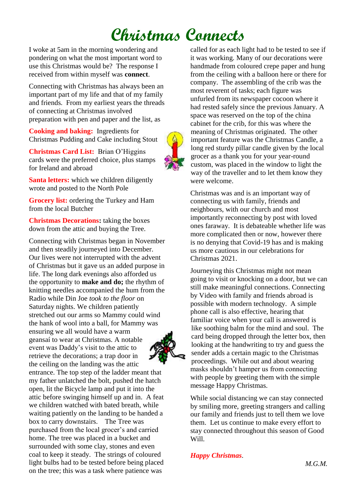# **Christmas Connects**

I woke at 5am in the morning wondering and pondering on what the most important word to use this Christmas would be? The response I received from within myself was **connect**.

Connecting with Christmas has always been an important part of my life and that of my family and friends. From my earliest years the threads of connecting at Christmas involved preparation with pen and paper and the list, as

**Cooking and baking:** Ingredients for Christmas Pudding and Cake including Stout

**Christmas Card List:** Brian O'Higgins cards were the preferred choice, plus stamps for Ireland and abroad

**Santa letters:** which we children diligently wrote and posted to the North Pole

**Grocery list:** ordering the Turkey and Ham from the local Butcher

**Christmas Decorations:** taking the boxes down from the attic and buying the Tree.

Connecting with Christmas began in November and then steadily journeyed into December. Our lives were not interrupted with the advent of Christmas but it gave us an added purpose in life. The long dark evenings also afforded us the opportunity to **make and do;** the rhythm of knitting needles accompanied the hum from the Radio while Din Joe *took to the floor* on Saturday nights. We children patiently stretched out our arms so Mammy could wind the hank of wool into a ball, for Mammy was ensuring we all would have a warm geansaí to wear at Christmas. A notable event was Daddy's visit to the attic to retrieve the decorations; a trap door in

the ceiling on the landing was the attic entrance. The top step of the ladder meant that my father unlatched the bolt, pushed the hatch open, lit the Bicycle lamp and put it into the attic before swinging himself up and in. A feat we children watched with bated breath, while waiting patiently on the landing to be handed a box to carry downstairs. The Tree was purchased from the local grocer's and carried home. The tree was placed in a bucket and surrounded with some clay, stones and even coal to keep it steady. The strings of coloured light bulbs had to be tested before being placed on the tree; this was a task where patience was



Christmas was and is an important way of connecting us with family, friends and neighbours, with our church and most importantly reconnecting by post with loved ones faraway. It is debateable whether life was more complicated then or now, however there is no denying that Covid-19 has and is making us more cautious in our celebrations for Christmas 2021.

Journeying this Christmas might not mean going to visit or knocking on a door, but we can still make meaningful connections. Connecting by Video with family and friends abroad is possible with modern technology. A simple phone call is also effective, hearing that familiar voice when your call is answered is like soothing balm for the mind and soul. The card being dropped through the letter box, then looking at the handwriting to try and guess the sender adds a certain magic to the Christmas proceedings. While out and about wearing masks shouldn't hamper us from connecting with people by greeting them with the simple message Happy Christmas.

While social distancing we can stay connected by smiling more, greeting strangers and calling our family and friends just to tell them we love them. Let us continue to make every effort to stay connected throughout this season of Good Will.

#### *Happy Christmas*.

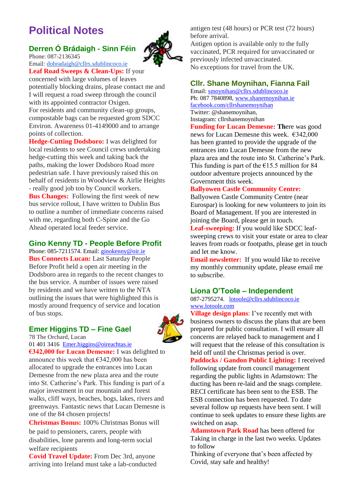# **Political Notes**

### **Derren Ó Brádaigh - Sinn Féin**



Phone: 087-2136345 Email: [dobradaigh@cllrs.sdublincoco.ie](mailto:dobradaigh@cllrs.sdublincoco.ie) **Leaf Road Sweeps & Clean-Ups:** If your

concerned with large volumes of leaves potentially blocking drains, please contact me and I will request a road sweep through the council with its appointed contractor Oxigen. For residents and community clean-up groups,

compostable bags can be requested grom SDCC Environ. Awareness 01-4149000 and to arrange points of collection.

**Hedge-Cutting Dodsboro:** I was delighted for local residents to see Council crews undertaking hedge-cutting this week and taking back the paths, making the lower Dodsboro Road more pedestrian safe. I have previously raised this on behalf of residents in Woodview & Airlie Heights - really good job too by Council workers. **Bus Changes:** Following the first week of new bus service rollout, I have written to Dublin Bus to outline a number of immediate concerns raised with me, regarding both C-Spine and the Go Ahead operated local feeder service.

#### **Gino Kenny TD - People Before Profit**

Phone: 085-7211574. Email: [ginokenny@oir.ie](mailto:ginokenny@oir.ie) **Bus Connects Lucan:** Last Saturday People Before Profit held a open air meeting in the Dodsboro area in regards to the recent changes to the bus service. A number of issues were raised by residents and we have written to the NTA outlining the issues that were highlighted this is mostly around frequency of service and location of bus stops.

#### **Emer Higgins TD – Fine Gael**

78 The Orchard, Lucan



[01 401 3416](tel:014013416) [Emer.higgins@oireachtas.ie](mailto:Emer.higgins@oireachtas.ie) **€342,000 for Lucan Demesne:** I was delighted to

announce this week that  $€342,000$  has been allocated to upgrade the entrances into Lucan Demesne from the new plaza area and the route into St. Catherine's Park. This funding is part of a major investment in our mountain and forest walks, cliff ways, beaches, bogs, lakes, rivers and greenways. Fantastic news that Lucan Demesne is one of the 84 chosen projects!

**Christmas Bonus:** 100% Christmas Bonus will be paid to pensioners, carers, people with disabilities, lone parents and long-term social welfare recipients

**Covid Travel Update:** From Dec 3rd, anyone arriving into Ireland must take a lab-conducted antigen test (48 hours) or PCR test (72 hours) before arrival.

Antigen option is available only to the fully vaccinated, PCR required for unvaccinated or previously infected unvaccinated. No exceptions for travel from the UK.

#### **Cllr. Shane Moynihan, Fianna Fail**

Email: [smoynihan@cllrs.sdublincoco.ie](mailto:smoynihan@cllrs.sdublincoco.ie) Ph: 087 7840898, [www.shanemoynihan.ie](http://www.shanemoynihan.ie/) [facebook.com/cllrshanemoynihan](http://facebook.com/cllrshanemoynihan) Twitter: @shanemoynihan, Instagram: cllrshanemoynihan

**Funding for Lucan Demesne: Th**ere was good news for Lucan Demesne this week. €342,000 has been granted to provide the upgrade of the entrances into Lucan Demesne from the new plaza area and the route into St. Catherine's Park. This funding is part of the  $\epsilon$ 15.5 million for 84 outdoor adventure projects announced by the Government this week.

#### **Ballyowen Castle Community Centre:**

Ballyowen Castle Community Centre (near Eurospar) is looking for new volunteers to join its Board of Management. If you are interested in joining the Board, please get in touch. **Leaf-sweeping:** If you would like SDCC leaf-

sweeping crews to visit your estate or area to clear leaves from roads or footpaths, please get in touch and let me know.

**Email newsletter:** If you would like to receive my monthly community update, please email me to subscribe.

#### **Liona O'Toole – Independent**

#### 087-2795274. [lotoole@cllrs.sdublincoco.ie](mailto:lotoole@cllrs.sdublincoco.ie) [www.lotoole.com](http://www.lotoole.com/)

**Village design plans**: I've recently met with business owners to discuss the plans that are been prepared for public consultation. I will ensure all concerns are relayed back to management and I will request that the release of this consultation is held off until the Christmas period is over. **Paddocks / Gandon Public Lighting:** I received following update from council management regarding the public lights in Adamstown: The ducting has been re-laid and the snags complete. RECI certificate has been sent to the ESB. The ESB connection has been requested. To date several follow up requests have been sent. I will continue to seek updates to ensure these lights are switched on asap.

**Adamstown Park Road** has been offered for Taking in charge in the last two weeks. Updates to follow

Thinking of everyone that's been affected by Covid, stay safe and healthy!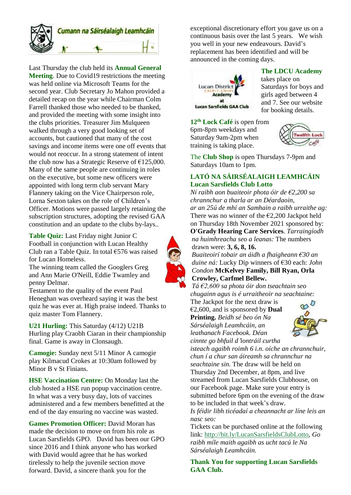

Last Thursday the club held its **Annual General Meeting**. Due to Covid19 restrictions the meeting was held online via Microsoft Teams for the second year. Club Secretary Jo Mahon provided a detailed recap on the year while Chairman Colm Farrell thanked those who needed to be thanked, and provided the meeting with some insight into the clubs priorities. Treasurer Jim Mulqueen walked through a very good looking set of accounts, but cautioned that many of the cost savings and income items were one off events that would not reoccur. In a strong statement of intent the club now has a Strategic Reserve of  $£125,000$ . Many of the same people are continuing in roles on the executive, but some new officers were appointed with long term club servant Mary Flannery taking on the Vice Chairperson role, Lorna Sexton takes on the role of Children's Officer. Motions were passed largely retaining the subscription structures, adopting the revised GAA constitution and an update to the clubs by-lays..

**Table Quiz:** Last Friday night Junior C Football in conjunction with Lucan Healthy Club ran a Table Quiz. In total €576 was raised for Lucan Homeless.

The winning team called the Googlers Greg and Ann Marie O'Neill, Eddie Twamley and penny Delmar.

Testament to the quality of the event Paul Heneghan was overheard saying it was the best quiz he was ever at. High praise indeed. Thanks to quiz master Tom Flannery.

**U21 Hurling:** This Saturday (4/12) U21B Hurling play Craobh Ciaran in their championship final. Game is away in Clonsaugh.

**Camogie:** Sunday next 5/11 Minor A camogie play Kilmacud Crokes at 10:30am followed by Minor B v St Finians.

.

**HSE Vaccination Centre:** On Monday last the club hosted a HSE run popup vaccination centre. In what was a very busy day, lots of vaccines administered and a few members benefitted at the end of the day ensuring no vaccine was wasted.

**Games Promotion Officer:** David Moran has made the decision to move on from his role as Lucan Sarsfields GPO. David has been our GPO since 2016 and I think anyone who has worked with David would agree that he has worked tirelessly to help the juvenile section move forward. David, a sincere thank you for the

exceptional discretionary effort you gave us on a continuous basis over the last 5 years. We wish you well in your new endeavours. David's replacement has been identified and will be announced in the coming days.



**The LDCU Academy**

takes place on Saturdays for boys and girls aged between 4 and 7. See our website for booking details.

**12th Lock Café** is open from 6pm-8pm weekdays and Saturday 9am-2pm when training is taking place.



The **Club Shop** is open Thursdays 7-9pm and Saturdays 10am to 1pm.

#### **LATÓ NA SÁIRSÉALAIGH LEAMHCÁIN Lucan Sarsfields Club Lotto**

*Ní raibh aon buaiteoir phota óir de €2,200 sa chrannchur a tharla ar an Déardaoin, ar an 25ú de mhí an Samhain a raibh urraithe ag:* There was no winner of the  $\epsilon$ 2,200 Jackpot held on Thursday 18th November 2021 sponsored by: **O'Grady Hearing Care Services**. *Tarraingíodh*

*na huimhreacha seo a leanas:* The numbers drawn were: **3, 6, 8, 16.**

*Buaiteoirí tobair an áidh a fhaigheann €30 an duine ná:* Lucky Dip winners of €30 each: *John Condon* **McKelvey Family, Bill Ryan, Orla Crowley, Carfmel Bellew.**

*Tá €2,600 sa phota óir don tseachtain seo chugainn agus is é urraitheoir na seachtaine:*

The Jackpot for the next draw is €2,600, and is sponsored by **Dual Printing.** *Beidh sé beo ón Na Sárséalaigh Leamhcáin, an leathanach Facebook. Déan cinnte go bhfuil d*'*iontráil curtha*



*isteach agaibh roimh 6 i.n. oíche an chrannchuir, chun í a chur san áireamh sa chrannchur na seachtaine sin.* The draw will be held on Thursday 2nd December, at 8pm, and live streamed from Lucan Sarsfields Clubhouse, on our Facebook page. Make sure your entry is submitted before 6pm on the evening of the draw to be included in that week's draw.

*Is féidir libh ticéadaí a cheannacht ar líne leis an nasc seo:*

Tickets can be purchased online at the following link: [http://bit.ly/LucanSarsfieldsClubLotto,](http://bit.ly/LucanSarsfieldsClubLotto) *Go raibh míle maith agaibh as ucht tacú le Na Sárséalaigh Leamhcáin.*

**Thank You for supporting Lucan Sarsfields GAA Club.**

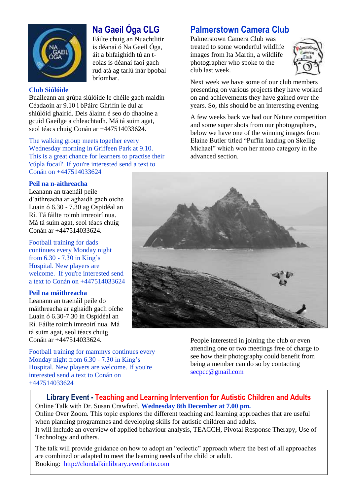

## **Na Gaeil Óga CLG**

Fáilte chuig an Nuachtlitir is déanaí ó Na Gaeil Óga, áit a bhfaighidh tú an teolas is déanaí faoi gach rud atá ag tarlú inár bpobal bríomhar.

#### **Club Siúlóide**

Buaileann an grúpa siúlóide le chéile gach maidin Céadaoin ar 9.10 i bPáirc Ghrifín le dul ar shiúlóid ghairid. Deis álainn é seo do dhaoine a gcuid Gaeilge a chleachtadh. Má tá suim agat, seol téacs chuig Conán ar +447514033624.

The walking group meets together every Wednesday morning in Griffeen Park at 9.10. This is a great chance for learners to practise their 'cúpla focail'. If you're interested send a text to Conán on +447514033624

#### **Peil na n-aithreacha**

Leanann an traenáil peile d'aithreacha ar aghaidh gach oíche Luain ó 6.30 - 7.30 ag Ospidéal an Rí. Tá fáilte roimh imreoirí nua. Má tá suim agat, seol téacs chuig Conán ar +447514033624.

Football training for dads continues every Monday night from 6.30 - 7.30 in King's Hospital. New players are welcome. If you're interested send a text to Conán on +447514033624

#### **Peil na máithreacha**

Leanann an traenáil peile do máithreacha ar aghaidh gach oíche Luain ó 6.30-7.30 in Ospidéal an Rí. Fáilte roimh imreoirí nua. Má tá suim agat, seol téacs chuig Conán ar +447514033624.

Football training for mammys continues every Monday night from 6.30 - 7.30 in King's Hospital. New players are welcome. If you're interested send a text to Conán on +447514033624

## **Palmerstown Camera Club**

Palmerstown Camera Club was treated to some wonderful wildlife images from Ita Martin, a wildlife photographer who spoke to the club last week.



Next week we have some of our club members presenting on various projects they have worked on and achievements they have gained over the years. So, this should be an interesting evening.

A few weeks back we had our Nature competition and some super shots from our photographers, below we have one of the winning images from Elaine Butler titled "Puffin landing on Skellig Michael" which won her mono category in the advanced section.



People interested in joining the club or even attending one or two meetings free of charge to see how their photography could benefit from being a member can do so by contacting [secpcc@gmail.com](mailto:secpcc@gmail.com)

#### **Library Event - Teaching and Learning Intervention for Autistic Children and Adults** Online Talk with Dr. Susan Crawford. **Wednesday 8th December at 7.00 pm.**

Online Over Zoom. This topic explores the different teaching and learning approaches that are useful when planning programmes and developing skills for autistic children and adults. It will include an overview of applied behaviour analysis, TEACCH, Pivotal Response Therapy, Use of Technology and others.

The talk will provide guidance on how to adopt an "eclectic" approach where the best of all approaches are combined or adapted to meet the learning needs of the child or adult. Booking: [http://clondalkinlibrary.eventbrite.com](http://clondalkinlibrary.eventbrite.com/)